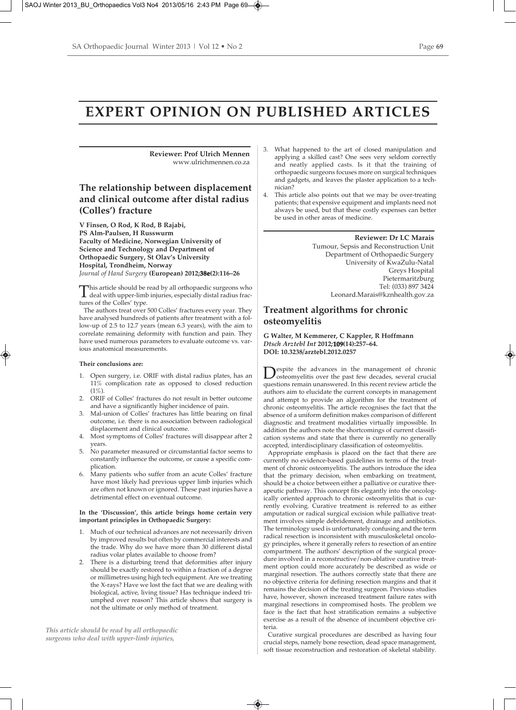# **EXPERT OPINION ON PUBLISHED ARTICLES**

**Reviewer: Prof Ulrich Mennen**  www.ulrichmennen.co.za

### **The relationship between displacement and clinical outcome after distal radius (Colles') fracture**

**V Finsen, O Rod, K Rod, B Rajabi, PS Alm-Paulsen, H Russwurm Faculty of Medicine, Norwegian University of Science and Technology and Department of Orthopaedic Surgery, St Olav's University Hospital, Trondheim, Norway** *Journal of Hand Surgery* **(European) 2012;38e(2):116–26**

This article should be read by all orthopaedic surgeons who<br>deal with upper-limb injuries, especially distal radius fractures of the Colles' type.

The authors treat over 500 Colles' fractures every year. They have analysed hundreds of patients after treatment with a follow-up of 2.5 to 12.7 years (mean 6.3 years), with the aim to correlate remaining deformity with function and pain. They have used numerous parameters to evaluate outcome vs. various anatomical measurements.

#### **Their conclusions are:**

- 1. Open surgery, i.e. ORIF with distal radius plates, has an 11% complication rate as opposed to closed reduction  $(1\%)$
- 2. ORIF of Colles' fractures do not result in better outcome and have a significantly higher incidence of pain.
- 3. Mal-union of Colles' fractures has little bearing on final outcome, i.e. there is no association between radiological displacement and clinical outcome.
- 4. Most symptoms of Colles' fractures will disappear after 2 years.
- 5. No parameter measured or circumstantial factor seems to constantly influence the outcome, or cause a specific complication.
- Many patients who suffer from an acute Colles' fracture have most likely had previous upper limb injuries which are often not known or ignored. These past injuries have a detrimental effect on eventual outcome.

#### **In the 'Discussion', this article brings home certain very important principles in Orthopaedic Surgery:**

- 1. Much of our technical advances are not necessarily driven by improved results but often by commercial interests and the trade. Why do we have more than 30 different distal radius volar plates available to choose from?
- There is a disturbing trend that deformities after injury should be exactly restored to within a fraction of a degree or millimetres using high tech equipment. Are we treating the X-rays? Have we lost the fact that we are dealing with biological, active, living tissue? Has technique indeed triumphed over reason? This article shows that surgery is not the ultimate or only method of treatment.

*This article should be read by all orthopaedic surgeons who deal with upper-limb injuries,*

- 3. What happened to the art of closed manipulation and applying a skilled cast? One sees very seldom correctly and neatly applied casts. Is it that the training of orthopaedic surgeons focuses more on surgical techniques and gadgets, and leaves the plaster application to a technician?
- This article also points out that we may be over-treating patients; that expensive equipment and implants need not always be used, but that these costly expenses can better be used in other areas of medicine.

**Reviewer: Dr LC Marais**  Tumour, Sepsis and Reconstruction Unit Department of Orthopaedic Surgery University of KwaZulu-Natal Greys Hospital Pietermaritzburg Tel: (033) 897 3424 Leonard.Marais@kznhealth.gov.za

#### **Treatment algorithms for chronic osteomyelitis**

#### **G Walter, M Kemmerer, C Kappler, R Hoffmann** *Dtsch Arztebl Int* **2012;109(14):257–64. DOI: 10.3238/arztebl.2012.0257**

Despite the advances in the management of chronic<br>osteomyelitis over the past few decades, several crucial<br>matrices are in unconvented in this asset arrive water of the questions remain unanswered. In this recent review article the authors aim to elucidate the current concepts in management and attempt to provide an algorithm for the treatment of chronic osteomyelitis. The article recognises the fact that the absence of a uniform definition makes comparison of different diagnostic and treatment modalities virtually impossible. In addition the authors note the shortcomings of current classification systems and state that there is currently no generally accepted, interdisciplinary classification of osteomyelitis.

Appropriate emphasis is placed on the fact that there are currently no evidence-based guidelines in terms of the treatment of chronic osteomyelitis. The authors introduce the idea that the primary decision, when embarking on treatment, should be a choice between either a palliative or curative therapeutic pathway. This concept fits elegantly into the oncologically oriented approach to chronic osteomyelitis that is currently evolving. Curative treatment is referred to as either amputation or radical surgical excision while palliative treatment involves simple debridement, drainage and antibiotics. The terminology used is unfortunately confusing and the term radical resection is inconsistent with musculoskeletal oncology principles, where it generally refers to resection of an entire compartment. The authors' description of the surgical procedure involved in a reconstructive/non-ablative curative treatment option could more accurately be described as wide or marginal resection. The authors correctly state that there are no objective criteria for defining resection margins and that it remains the decision of the treating surgeon. Previous studies have, however, shown increased treatment failure rates with marginal resections in compromised hosts. The problem we face is the fact that host stratification remains a subjective exercise as a result of the absence of incumbent objective criteria.

Curative surgical procedures are described as having four crucial steps, namely bone resection, dead space management, soft tissue reconstruction and restoration of skeletal stability.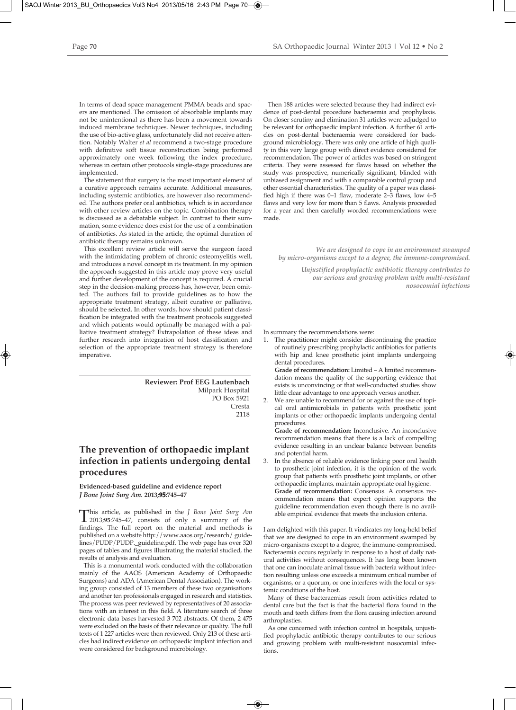In terms of dead space management PMMA beads and spacers are mentioned. The omission of absorbable implants may not be unintentional as there has been a movement towards induced membrane techniques. Newer techniques, including the use of bio-active glass, unfortunately did not receive attention. Notably Walter *et al* recommend a two-stage procedure with definitive soft tissue reconstruction being performed approximately one week following the index procedure, whereas in certain other protocols single-stage procedures are implemented.

The statement that surgery is the most important element of a curative approach remains accurate. Additional measures, including systemic antibiotics, are however also recommended. The authors prefer oral antibiotics, which is in accordance with other review articles on the topic. Combination therapy is discussed as a debatable subject. In contrast to their summation, some evidence does exist for the use of a combination of antibiotics. As stated in the article, the optimal duration of antibiotic therapy remains unknown.

This excellent review article will serve the surgeon faced with the intimidating problem of chronic osteomyelitis well, and introduces a novel concept in its treatment. In my opinion the approach suggested in this article may prove very useful and further development of the concept is required. A crucial step in the decision-making process has, however, been omitted. The authors fail to provide guidelines as to how the appropriate treatment strategy, albeit curative or palliative, should be selected. In other words, how should patient classification be integrated with the treatment protocols suggested and which patients would optimally be managed with a palliative treatment strategy? Extrapolation of these ideas and further research into integration of host classification and selection of the appropriate treatment strategy is therefore imperative.

> **Reviewer: Prof EEG Lautenbach** Milpark Hospital PO Box 5921 Cresta 2118

### **The prevention of orthopaedic implant infection in patients undergoing dental procedures**

#### **Evidenced-based guideline and evidence report** *J Bone Joint Surg Am.* **2013;95:745–47**

This article, as published in the *J Bone Joint Surg Am*<br>
2013;**95**:745–47, consists of only a summary of the<br>
findings The full report on the material and methods is findings. The full report on the material and methods is published on a website http://www.aaos.org/research/ guidelines/PUDP/PUDP.\_guideline.pdf. The web page has over 320 pages of tables and figures illustrating the material studied, the results of analysis and evaluation.

This is a monumental work conducted with the collaboration mainly of the AAOS (American Academy of Orthopaedic Surgeons) and ADA (American Dental Association). The working group consisted of 13 members of these two organisations and another ten professionals engaged in research and statistics. The process was peer reviewed by representatives of 20 associations with an interest in this field. A literature search of three electronic data bases harvested 3 702 abstracts. Of them, 2 475 were excluded on the basis of their relevance or quality. The full texts of 1 227 articles were then reviewed. Only 213 of these articles had indirect evidence on orthopaedic implant infection and were considered for background microbiology.

Then 188 articles were selected because they had indirect evidence of post-dental procedure bacteraemia and prophylaxis. On closer scrutiny and elimination 31 articles were adjudged to be relevant for orthopaedic implant infection. A further 61 articles on post-dental bacteraemia were considered for background microbiology. There was only one article of high quality in this very large group with direct evidence considered for recommendation. The power of articles was based on stringent criteria. They were assessed for flaws based on whether the study was prospective, numerically significant, blinded with unbiased assignment and with a comparable control group and other essential characteristics. The quality of a paper was classified high if there was 0–1 flaw, moderate 2–3 flaws, low 4–5 flaws and very low for more than 5 flaws. Analysis proceeded for a year and then carefully worded recommendations were made.

*We are designed to cope in an environment swamped by micro-organisms except to a degree, the immune-compromised.* 

> *Unjustified prophylactic antibiotic therapy contributes to our serious and growing problem with multi-resistant nosocomial infections*

In summary the recommendations were:

1. The practitioner might consider discontinuing the practice of routinely prescribing prophylactic antibiotics for patients with hip and knee prosthetic joint implants undergoing dental procedures.

**Grade of recommendation:** Limited – A limited recommendation means the quality of the supporting evidence that exists is unconvincing or that well-conducted studies show little clear advantage to one approach versus another.

2. We are unable to recommend for or against the use of topical oral antimicrobials in patients with prosthetic joint implants or other orthopaedic implants undergoing dental procedures.

**Grade of recommendation:** Inconclusive. An inconclusive recommendation means that there is a lack of compelling evidence resulting in an unclear balance between benefits and potential harm.

3. In the absence of reliable evidence linking poor oral health to prosthetic joint infection, it is the opinion of the work group that patients with prosthetic joint implants, or other orthopaedic implants, maintain appropriate oral hygiene. **Grade of recommendation:** Consensus. A consensus recommendation means that expert opinion supports the guideline recommendation even though there is no available empirical evidence that meets the inclusion criteria.

I am delighted with this paper. It vindicates my long-held belief that we are designed to cope in an environment swamped by micro-organisms except to a degree, the immune-compromised. Bacteraemia occurs regularly in response to a host of daily natural activities without consequences. It has long been known that one can inoculate animal tissue with bacteria without infection resulting unless one exceeds a minimum critical number of organisms, or a quorum, or one interferes with the local or systemic conditions of the host.

Many of these bacteraemias result from activities related to dental care but the fact is that the bacterial flora found in the mouth and teeth differs from the flora causing infection around arthroplasties.

As one concerned with infection control in hospitals, unjustified prophylactic antibiotic therapy contributes to our serious and growing problem with multi-resistant nosocomial infections.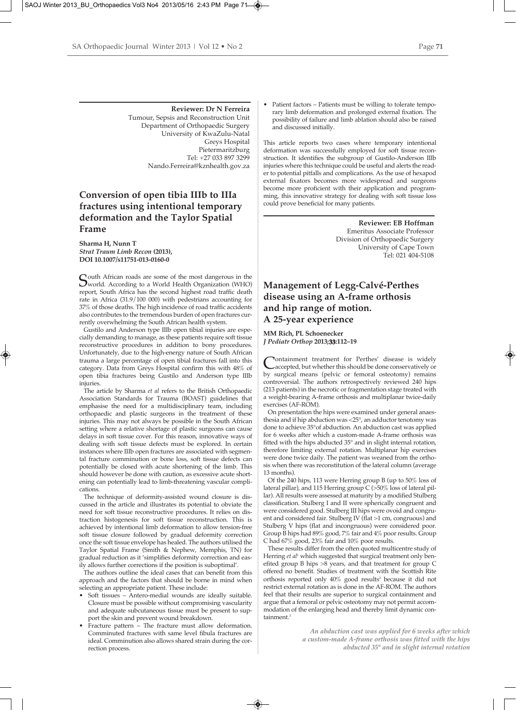**Reviewer: Dr N Ferreira** Tumour, Sepsis and Reconstruction Unit Department of Orthopaedic Surgery University of KwaZulu-Natal Greys Hospital Pietermaritzburg Tel: +27 033 897 3299 Nando.Ferreira@kznhealth.gov.za

### **Conversion of open tibia IIIb to IIIa fractures using intentional temporary deformation and the Taylor Spatial Frame**

**Sharma H, Nunn T** *Strat Traum Limb Recon* **(2013), DOI 10.1007/s11751-013-0160-0**

South African roads are some of the most dangerous in the<br>World. According to a World Health Organization (WHO) report, South Africa has the second highest road traffic death rate in Africa (31.9/100 000) with pedestrians accounting for 37% of those deaths. The high incidence of road traffic accidents also contributes to the tremendous burden of open fractures currently overwhelming the South African health system.

Gustilo and Anderson type IIIb open tibial injuries are especially demanding to manage, as these patients require soft tissue reconstructive procedures in addition to bony procedures. Unfortunately, due to the high-energy nature of South African trauma a large percentage of open tibial fractures fall into this category. Data from Greys Hospital confirm this with 48% of open tibia fractures being Gustilo and Anderson type IIIb injuries.

The article by Sharma *et al* refers to the British Orthopaedic Association Standards for Trauma (BOAST) guidelines that emphasise the need for a multidisciplinary team, including orthopaedic and plastic surgeons in the treatment of these injuries. This may not always be possible in the South African setting where a relative shortage of plastic surgeons can cause delays in soft tissue cover. For this reason, innovative ways of dealing with soft tissue defects must be explored. In certain instances where IIIb open fractures are associated with segmental fracture comminution or bone loss, soft tissue defects can potentially be closed with acute shortening of the limb. This should however be done with caution, as excessive acute shortening can potentially lead to limb-threatening vascular complications.

The technique of deformity-assisted wound closure is discussed in the article and illustrates its potential to obviate the need for soft tissue reconstructive procedures. It relies on distraction histogenesis for soft tissue reconstruction. This is achieved by intentional limb deformation to allow tension-free soft tissue closure followed by gradual deformity correction once the soft tissue envelope has healed. The authors utilised the Taylor Spatial Frame (Smith & Nephew, Memphis, TN) for gradual reduction as it 'simplifies deformity correction and easily allows further corrections if the position is suboptimal'.

The authors outline the ideal cases that can benefit from this approach and the factors that should be borne in mind when selecting an appropriate patient. These include:

- Soft tissues Antero-medial wounds are ideally suitable. Closure must be possible without compromising vascularity and adequate subcutaneous tissue must be present to support the skin and prevent wound breakdown.
- Fracture pattern The fracture must allow deformation. Comminuted fractures with same level fibula fractures are ideal. Comminution also allows shared strain during the correction process.

This article reports two cases where temporary intentional deformation was successfully employed for soft tissue reconstruction. It identifies the subgroup of Gustilo-Anderson IIIb injuries where this technique could be useful and alerts the reader to potential pitfalls and complications. As the use of hexapod external fixators becomes more widespread and surgeons become more proficient with their application and programming, this innovative strategy for dealing with soft tissue loss could prove beneficial for many patients.

> **Reviewer: EB Hoffman** Emeritus Associate Professor Division of Orthopaedic Surgery University of Cape Town Tel: 021 404-5108

## **Management of Legg-Calvé-Perthes disease using an A-frame orthosis and hip range of motion. A 25-year experience**

**MM Rich, PL Schoenecker** *J Pediatr Orthop* **2013;33:112–19**

Containment treatment for Perthes' disease is widely<br>Caccepted, but whether this should be done conservatively or<br>his aggregation of the conservatively or the conservatively or by surgical means (pelvic or femoral osteotomy) remains controversial. The authors retrospectively reviewed 240 hips (213 patients) in the necrotic or fragmentation stage treated with a weight-bearing A-frame orthosis and multiplanar twice-daily exercises (AF-ROM).

On presentation the hips were examined under general anaesthesia and if hip abduction was <25°, an adductor tenotomy was done to achieve 35°of abduction. An abduction cast was applied for 6 weeks after which a custom-made A-frame orthosis was fitted with the hips abducted 35° and in slight internal rotation, therefore limiting external rotation. Multiplanar hip exercises were done twice daily. The patient was weaned from the orthosis when there was reconstitution of the lateral column (average 13 months).

Of the 240 hips, 113 were Herring group B (up to 50% loss of lateral pillar), and 115 Herring group C (>50% loss of lateral pillar). All results were assessed at maturity by a modified Stulberg classification. Stulberg I and II were spherically congruent and were considered good. Stulberg III hips were ovoid and congruent and considered fair. Stulberg IV (flat >1 cm, congruous) and Stulberg V hips (flat and incongruous) were considered poor. Group B hips had 89% good, 7% fair and 4% poor results. Group C had 67% good, 23% fair and 10% poor results.

These results differ from the often quoted multicentre study of Herring *et al*<sup>1</sup> which suggested that surgical treatment only benefited group B hips >8 years, and that treatment for group C offered no benefit. Studies of treatment with the Scottish Rite orthosis reported only 40% good results<sup>2</sup> because it did not restrict external rotation as is done in the AF-ROM. The authors feel that their results are superior to surgical containment and argue that a femoral or pelvic osteotomy may not permit accommodation of the enlarging head and thereby limit dynamic containment.3

> *An abduction cast was applied for 6 weeks after which a custom-made A-frame orthosis was fitted with the hips abducted 35° and in slight internal rotation*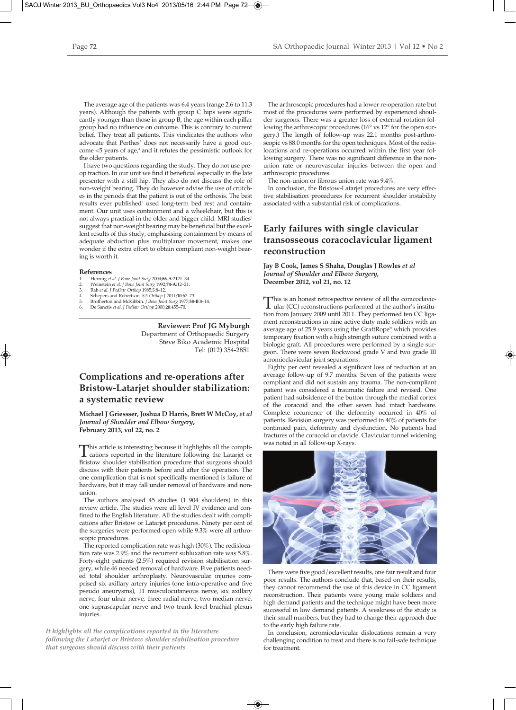The average age of the patients was 6.4 years (range 2.6 to 11.3 years). Although the patients with group C hips were significantly younger than those in group B, the age within each pillar group had no influence on outcome. This is contrary to current belief. They treat all patients. This vindicates the authors who advocate that Perthes' does not necessarily have a good outcome <5 years of age,<sup>4</sup> and it refutes the pessimistic outlook for the older patients.

I have two questions regarding the study. They do not use preop traction. In our unit we find it beneficial especially in the late presenter with a stiff hip. They also do not discuss the role of non-weight bearing. They do however advise the use of crutches in the periods that the patient is out of the orthosis. The best results ever published<sup>5</sup> used long-term bed rest and containment. Our unit uses containment and a wheelchair, but this is not always practical in the older and bigger child. MRI studies<sup>6</sup> suggest that non-weight bearing may be beneficial but the excellent results of this study, emphasising containment by means of adequate abduction plus multiplanar movement, makes one wonder if the extra effort to obtain compliant non-weight bearing is worth it.

#### **References**

- 1. Herring *et al. J Bone Joint Surg* 2004;**86-A**:2121–34. 2. Weinstein *et al. J Bone Joint Surg* 1992;**74-A**:12–21.
- 
- 
- 3. Rab *et al. J Pediatr Orthop 1985;*5:8–12.<br>4. Schepers and Robertson. S*A Orthop J* 2011;10:67–73.<br>5. Brotherton and McKibbin. *J Bone Joint Surg 1977;*58-B:8–14.<br>6. De Sanctis *et al. J Pediatr Orthop 2*000;**20**:455–70
- 

**Reviewer: Prof JG Myburgh** Department of Orthopaedic Surgery Steve Biko Academic Hospital Tel: (012) 354-2851

### **Complications and re-operations after Bristow-Latarjet shoulder stabilization: a systematic review**

**Michael J Griessser, Joshua D Harris, Brett W McCoy,** *et al Journal of Shoulder and Elbow Surgery***, February 2013, vol 22, no. 2**

This article is interesting because it highlights all the compli-cations reported in the literature following the Latarjet or Bristow shoulder stabilisation procedure that surgeons should discuss with their patients before and after the operation. The one complication that is not specifically mentioned is failure of hardware, but it may fall under removal of hardware and nonunion.

The authors analysed 45 studies (1 904 shoulders) in this review article. The studies were all level IV evidence and confined to the English literature. All the studies dealt with complications after Bristow or Latarjet procedures. Ninety per cent of the surgeries were performed open while 9.3% were all arthroscopic procedures.

The reported complication rate was high (30%). The redislocation rate was 2.9% and the recurrent subluxation rate was 5.8%. Forty-eight patients (2.5%) required revision stabilisation surgery, while 46 needed removal of hardware. Five patients needed total shoulder arthroplasty. Neurovascular injuries comprised six axillary artery injuries (one intra-operative and five pseudo aneurysms), 11 musculocutaneous nerve, six axillary nerve, four ulnar nerve, three radial nerve, two median nerve, one suprascapular nerve and two trunk level brachial plexus injuries.

*It highlights all the complications reported in the literature following the Latarjet or Bristow shoulder stabilisation procedure that surgeons should discuss with their patients*

The arthroscopic procedures had a lower re-operation rate but most of the procedures were performed by experienced shoulder surgeons. There was a greater loss of external rotation following the arthroscopic procedures (16° vs 12° for the open surgery.) The length of follow-up was 22.1 months post-arthroscopic vs 88.0 months for the open techniques. Most of the redislocations and re-operations occurred within the first year following surgery. There was no significant difference in the nonunion rate or neurovascular injuries between the open and arthroscopic procedures.

The non-union or fibrous union rate was 9.4%.

In conclusion, the Bristow-Latarjet procedures are very effective stabilisation procedures for recurrent shoulder instability associated with a substantial risk of complications.

### **Early failures with single clavicular transosseous coracoclavicular ligament reconstruction**

#### **Jay B Cook, James S Shaha, Douglas J Rowles** *et al Journal of Shoulder and Elbow Surgery,*  **December 2012, vol 21, no. 12**

This is an honest retrospective review of all the coracoclavic-<br>ular (CC) reconstructions performed at the author's institu-<br>tion from January 2000 until 2011. They performed top GG line tion from January 2009 until 2011. They performed ten CC ligament reconstructions in nine active duty male soldiers with an average age of 25.9 years using the GraftRope® which provides temporary fixation with a high strength suture combined with a biologic graft. All procedures were performed by a single surgeon. There were seven Rockwood grade V and two grade III acromioclavicular joint separations.

Eighty per cent revealed a significant loss of reduction at an average follow-up of 9.7 months. Seven of the patients were compliant and did not sustain any trauma. The non-compliant patient was considered a traumatic failure and revised. One patient had subsidence of the button through the medial cortex of the coracoid and the other seven had intact hardware. Complete recurrence of the deformity occurred in 40% of patients. Revision surgery was performed in 40% of patients for continued pain, deformity and dysfunction. No patients had fractures of the coracoid or clavicle. Clavicular tunnel widening was noted in all follow-up X-rays.



There were five good/excellent results, one fair result and four poor results. The authors conclude that, based on their results, they cannot recommend the use of this device in CC ligament reconstruction. Their patients were young male soldiers and high demand patients and the technique might have been more successful in low demand patients. A weakness of the study is their small numbers, but they had to change their approach due to the early high failure rate.

In conclusion, acromioclavicular dislocations remain a very challenging condition to treat and there is no fail-safe technique for treatment.